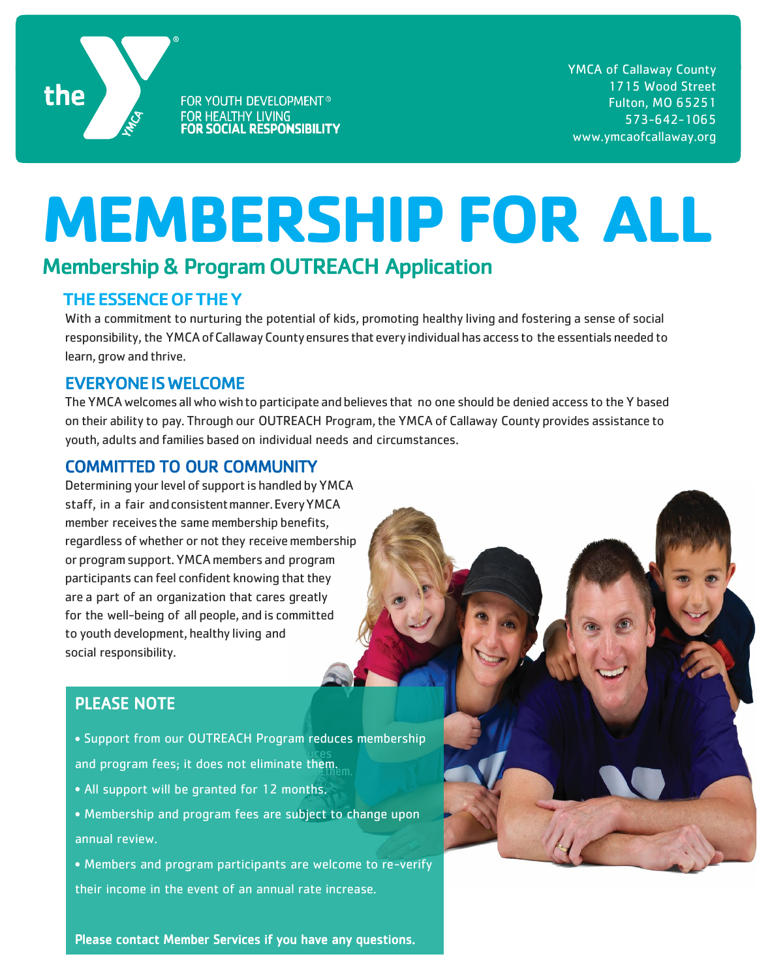

FOR YOUTH DEVELOPMENT® FOR HEALTHY LIVING **FOR SOCIAL RESPONSIBILITY**  YMCA of Callaway County 1715 Wood Street Fulton, MO 65251 573-642-1065 www.ymcaofcallaway.org

# **MEMBERSHIP FOR ALL**

## Membership & Program OUTREACH Application

#### THE ESSENCE OF THE Y

With a commitment to nurturing the potential of kids, promoting healthy living and fostering a sense of social responsibility, the YMCA of Callaway County ensures that every individual has access to the essentials needed to learn, growand thrive.

#### EVERYONE IS WELCOME

The YMCAwelcomesallwhowishto participate andbelieves that no one should be denied access to the Y based on their ability to pay. Through our OUTREACH Program, the YMCA of Callaway County provides assistance to youth, adults and families based on individual needs and circumstances.

#### COMMITTED TO OUR COMMUNITY

Determining your level of support is handled by YMCA staff, in a fair andconsistentmanner.EveryYMCA member receivesthe same membership benefits, regardless of whether or not they receive membership or programsupport.YMCA members and program participants can feel confident knowing that they are a part of an organization that cares greatly for the well-being of all people, and is committed to youth development, healthy living and social responsibility.

### PLEASE NOTE

- │<br>● Support from our OUTREACH Program reduces membership • Supportfromour OUTREACH Program reduces and program fees; it does not eliminate them.<br>And program fees; it does not eliminate them.
- All support will be granted for 12 months.

Please contactMember Services ifyou have any questions.

- Membership and programfees are subjectto change annual review. • Membership and program fees are subject to change upon
- Members and program participants are welcome to re-verify Members and program participants are welcome to re-verify their income in the event of an annual rate increase.